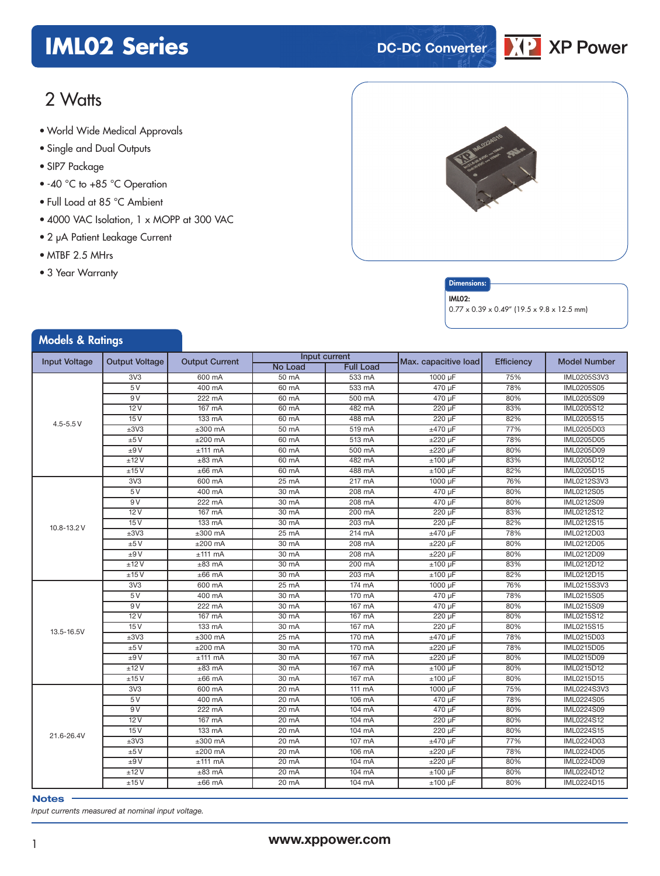## **IML02 Series DC-DC** Converter



## 2 Watts

- World Wide Medical Approvals
- Single and Dual Outputs
- SIP7 Package
- -40 °C to +85 °C Operation
- Full Load at 85 °C Ambient
- 4000 VAC Isolation, 1 x MOPP at 300 VAC
- 2 µA Patient Leakage Current
- MTBF 2.5 MHrs
- 3 Year Warranty

Models & Datings





#### IML02:

0.77 x 0.39 x 0.49" (19.5 x 9.8 x 12.5 mm)

| <b><i>INDUCIS</i></b> & NUTTING               |                 |                       |         |                  |                      |                   |                     |
|-----------------------------------------------|-----------------|-----------------------|---------|------------------|----------------------|-------------------|---------------------|
| <b>Input Voltage</b><br><b>Output Voltage</b> |                 | <b>Output Current</b> |         | Input current    | Max. capacitive load |                   | <b>Model Number</b> |
|                                               |                 |                       | No Load | <b>Full Load</b> |                      | <b>Efficiency</b> |                     |
|                                               | 3V3             | 600 mA                | 50 mA   | 533 mA           | 1000 µF              | 75%               | IML0205S3V3         |
|                                               | 5V              | 400 mA                | 60 mA   | 533 mA           | 470 µF               | 78%               | IML0205S05          |
|                                               | 9 V             | 222 mA                | 60 mA   | 500 mA           | 470 µF               | 80%               | IML0205S09          |
|                                               | 12V             | 167 mA                | 60 mA   | 482 mA           | 220 µF               | 83%               | IML0205S12          |
| $4.5 - 5.5 V$                                 | 15V             | 133 mA                | 60 mA   | 488 mA           | 220 µF               | 82%               | IML0205S15          |
|                                               | ±3V3            | $±300$ mA             | 50 mA   | 519 mA           | $±470$ µF            | 77%               | IML0205D03          |
|                                               | ±5V             | $±200$ mA             | 60 mA   | 513 mA           | $±220 \mu F$         | 78%               | <b>IML0205D05</b>   |
|                                               | ±9V             | $±111$ mA             | 60 mA   | 500 mA           | $±220 \mu F$         | 80%               | <b>IML0205D09</b>   |
|                                               | ±12V            | $±83$ mA              | 60 mA   | 482 mA           | $±100 \mu F$         | 83%               | IML0205D12          |
|                                               | ±15V            | $±66$ mA              | 60 mA   | 488 mA           | $±100 \mu F$         | 82%               | IML0205D15          |
|                                               | 3V3             | 600 mA                | 25 mA   | 217 mA           | 1000 µF              | 76%               | IML0212S3V3         |
|                                               | 5V              | 400 mA                | 30 mA   | 208 mA           | 470 µF               | 80%               | IML0212S05          |
|                                               | 9V              | 222 mA                | 30 mA   | 208 mA           | 470 µF               | 80%               | IML0212S09          |
|                                               | 12V             | 167 mA                | 30 mA   | 200 mA           | 220 uF               | 83%               | IML0212S12          |
| 10.8-13.2 V                                   | 15V             | 133 mA                | 30 mA   | 203 mA           | 220 µF               | 82%               | IML0212S15          |
|                                               | ±3V3            | $±300$ mA             | 25 mA   | 214 mA           | ±470 µF              | 78%               | IML0212D03          |
|                                               | ±5V             | $±200$ mA             | 30 mA   | 208 mA           | ±220 µF              | 80%               | IML0212D05          |
|                                               | ±9V             | $±111$ mA             | 30 mA   | 208 mA           | $±220 \mu F$         | 80%               | IML0212D09          |
|                                               | ±12V            | $±83$ mA              | 30 mA   | 200 mA           | $±100 \mu F$         | 83%               | IML0212D12          |
|                                               | ±15V            | $±66$ mA              | 30 mA   | 203 mA           | $±100 \mu F$         | 82%               | IML0212D15          |
|                                               | 3V <sub>3</sub> | 600 mA                | 25 mA   | 174 mA           | 1000 µF              | 76%               | <b>IML0215S3V3</b>  |
|                                               | 5V              | 400 mA                | 30 mA   | 170 mA           | 470 µF               | 78%               | <b>IML0215S05</b>   |
|                                               | 9V              | $222$ mA              | 30 mA   | 167 mA           | 470 µF               | 80%               | <b>IML0215S09</b>   |
|                                               | 12V             | 167 mA                | 30 mA   | 167 mA           | 220 µF               | 80%               | IML0215S12          |
| 13.5-16.5V                                    | 15V             | 133 mA                | 30 mA   | $167$ mA         | 220 µF               | 80%               | IML0215S15          |
|                                               | ±3V3            | $±300$ mA             | 25 mA   | 170 mA           | $±470 \mu F$         | 78%               | <b>IML0215D03</b>   |
|                                               | ±5V             | $±200$ mA             | 30 mA   | 170 mA           | $±220 \mu F$         | 78%               | IML0215D05          |
|                                               | ±9V             | $±111$ mA             | 30 mA   | 167 mA           | $±220 \mu F$         | 80%               | IML0215D09          |
|                                               | ±12V            | $±83$ mA              | 30 mA   | $167$ mA         | $±100 \mu F$         | 80%               | IML0215D12          |
|                                               | ±15V            | $±66$ mA              | 30 mA   | 167 mA           | $±100 \mu F$         | 80%               | <b>IML0215D15</b>   |
|                                               | 3V3             | 600 mA                | 20 mA   | 111 mA           | 1000 µF              | 75%               | IML0224S3V3         |
|                                               | 5V              | 400 mA                | 20 mA   | 106 mA           | 470 µF               | 78%               | IML0224S05          |
|                                               | 9V              | 222 mA                | 20 mA   | 104 mA           | 470 µF               | 80%               | IML0224S09          |
|                                               | 12V             | 167 mA                | 20 mA   | 104 mA           | 220 µF               | 80%               | <b>IML0224S12</b>   |
| 21.6-26.4V                                    | 15V             | 133 mA                | 20 mA   | 104 mA           | 220 µF               | 80%               | IML0224S15          |
|                                               | ±3V3            | $±300$ mA             | 20 mA   | 107 mA           | $±470 \mu F$         | 77%               | <b>IML0224D03</b>   |
|                                               | ±5V             | $±200$ mA             | 20 mA   | 106 mA           | ±220 µF              | 78%               | <b>IML0224D05</b>   |
|                                               | ±9V             | $±111$ mA             | 20 mA   | 104 mA           | $±220 \mu F$         | 80%               | IML0224D09          |
|                                               | ±12V            | $±83$ mA              | 20 mA   | 104 mA           | $±100 \mu F$         | 80%               | IML0224D12          |
|                                               | ±15V            | $±66$ mA              | 20 mA   | 104 mA           | $±100 \mu F$         | 80%               | IML0224D15          |

#### **Notes**

*Input currents measured at nominal input voltage.*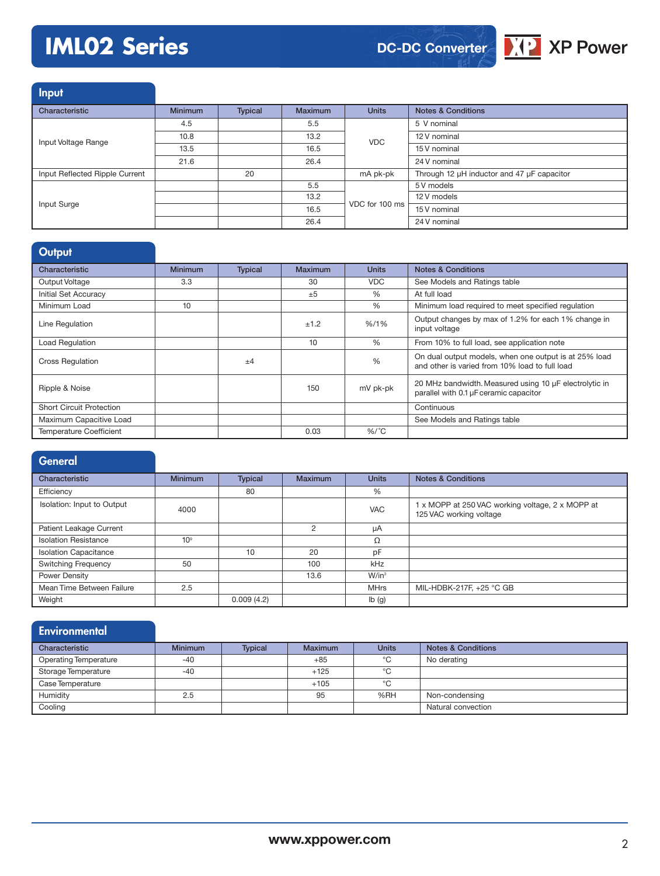# **IML02 Series**

**DC-DC Converter**



**Input** Characteristic **Minimum Typical Maximum Units Notes & Conditions** Input Voltage Range 4.5 5.5 VDC 5 V nominal 10.8 13.2 13.2 12 V nominal 13.5 16.5 15 V nominal 21.6 26.4 24 V nominal Input Reflected Ripple Current 20 mA pk-pk Through 12 µH inductor and 47 µF capacitor Input Surge 5.5 VDC for 100 ms 5 V models 13.2 12 V models  $\overline{16.5}$  VDC for 100 ms  $\overline{15 \text{ V nominal}}$ 26.4 24 V nominal

## **Output**

| Characteristic                  | <b>Minimum</b> | <b>Typical</b> | <b>Maximum</b> | <b>Units</b> | <b>Notes &amp; Conditions</b>                                                                           |
|---------------------------------|----------------|----------------|----------------|--------------|---------------------------------------------------------------------------------------------------------|
| Output Voltage                  | 3.3            |                | 30             | <b>VDC</b>   | See Models and Ratings table                                                                            |
| <b>Initial Set Accuracy</b>     |                |                | ±5             | $\%$         | At full load                                                                                            |
| Minimum Load                    | 10             |                |                | $\%$         | Minimum load required to meet specified requlation                                                      |
| Line Regulation                 |                |                | ±1.2           | $% / 1\%$    | Output changes by max of 1.2% for each 1% change in<br>input voltage                                    |
| <b>Load Regulation</b>          |                |                | 10             | $\%$         | From 10% to full load, see application note                                                             |
| <b>Cross Regulation</b>         |                | $+4$           |                | %            | On dual output models, when one output is at 25% load<br>and other is varied from 10% load to full load |
| Ripple & Noise                  |                |                | 150            | mV pk-pk     | 20 MHz bandwidth. Measured using 10 µF electrolytic in<br>parallel with 0.1 µF ceramic capacitor        |
| <b>Short Circuit Protection</b> |                |                |                |              | Continuous                                                                                              |
| Maximum Capacitive Load         |                |                |                |              | See Models and Ratings table                                                                            |
| <b>Temperature Coefficient</b>  |                |                | 0.03           | $%$ /°C      |                                                                                                         |

| <b>General</b>               |                 |                |                |                   |                                                                             |
|------------------------------|-----------------|----------------|----------------|-------------------|-----------------------------------------------------------------------------|
| Characteristic               | <b>Minimum</b>  | <b>Typical</b> | Maximum        | <b>Units</b>      | <b>Notes &amp; Conditions</b>                                               |
| Efficiency                   |                 | 80             |                | %                 |                                                                             |
| Isolation: Input to Output   | 4000            |                |                | <b>VAC</b>        | 1 x MOPP at 250 VAC working voltage, 2 x MOPP at<br>125 VAC working voltage |
| Patient Leakage Current      |                 |                | $\overline{2}$ | μA                |                                                                             |
| <b>Isolation Resistance</b>  | 10 <sup>9</sup> |                |                | Ω                 |                                                                             |
| <b>Isolation Capacitance</b> |                 | 10             | 20             | pF                |                                                                             |
| <b>Switching Frequency</b>   | 50              |                | 100            | kHz               |                                                                             |
| Power Density                |                 |                | 13.6           | $W/in^3$          |                                                                             |
| Mean Time Between Failure    | 2.5             |                |                | <b>MHrs</b>       | MIL-HDBK-217F, +25 °C GB                                                    |
| Weight                       |                 | 0.009(4.2)     |                | $I\mathbf{b}$ (g) |                                                                             |

| <b>Environmental</b>         |                |                |                |              |                               |
|------------------------------|----------------|----------------|----------------|--------------|-------------------------------|
| Characteristic               | <b>Minimum</b> | <b>Typical</b> | <b>Maximum</b> | <b>Units</b> | <b>Notes &amp; Conditions</b> |
| <b>Operating Temperature</b> | $-40$          |                | $+85$          | °C           | No derating                   |
| Storage Temperature          | $-40$          |                | $+125$         | °C           |                               |
| Case Temperature             |                |                | $+105$         | °C           |                               |
| Humidity                     | 2.5            |                | 95             | %RH          | Non-condensing                |
| Cooling                      |                |                |                |              | Natural convection            |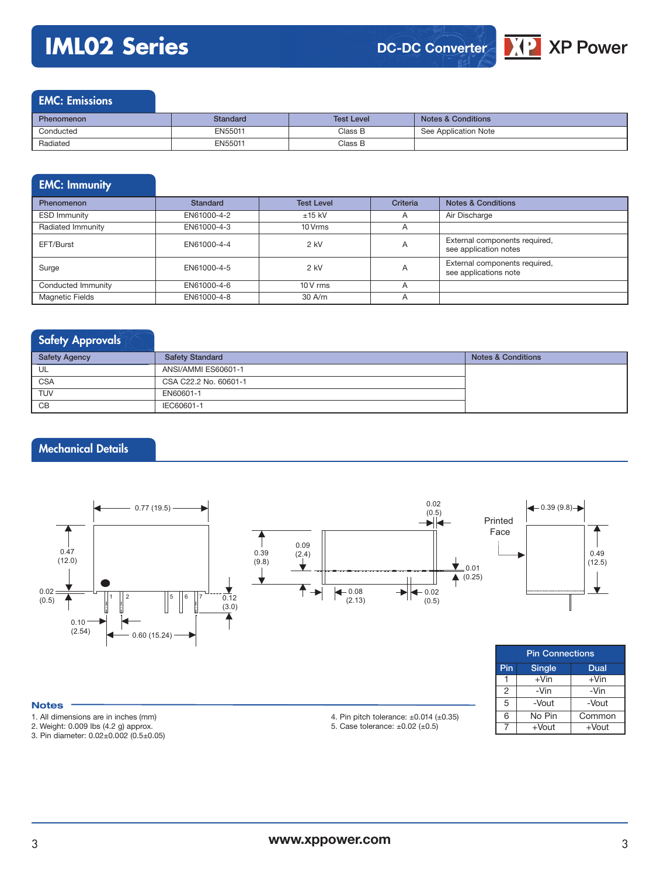# **IML02 Series**



### EMC: Emissions

| <b>Phenomenon</b> | Standard | <b>Test Level</b> | <b>Notes &amp; Conditions</b> |
|-------------------|----------|-------------------|-------------------------------|
| Conducted         | EN55011  | Class B           | See Application Note          |
| Radiated          | EN55011  | Class B           |                               |

## EMC: Immunity

| <b>Phenomenon</b>      | Standard    | <b>Test Level</b> | Criteria       | <b>Notes &amp; Conditions</b>                          |
|------------------------|-------------|-------------------|----------------|--------------------------------------------------------|
| <b>ESD Immunity</b>    | EN61000-4-2 | $±15$ kV          | A              | Air Discharge                                          |
| Radiated Immunity      | EN61000-4-3 | 10 Vrms           | $\overline{A}$ |                                                        |
| EFT/Burst              | EN61000-4-4 | $2$ kV            | A              | External components required,<br>see application notes |
| Surge                  | EN61000-4-5 | $2$ kV            | A              | External components required,<br>see applications note |
| Conducted Immunity     | EN61000-4-6 | $10V$ rms         | A              |                                                        |
| <b>Magnetic Fields</b> | EN61000-4-8 | 30 A/m            | A              |                                                        |

## Safety Approvals

| <b>Safety Agency</b> | <b>Safety Standard</b> | <b>Notes &amp; Conditions</b> |
|----------------------|------------------------|-------------------------------|
| UL                   | ANSI/AMMI ES60601-1    |                               |
| <b>CSA</b>           | CSA C22.2 No. 60601-1  |                               |
| <b>TUV</b>           | EN60601-1              |                               |
| CB                   | IEC60601-1             |                               |

## Mechanical Details



#### **Notes**

- 1. All dimensions are in inches (mm)
- 2. Weight: 0.009 lbs (4.2 g) approx.

3. Pin diameter: 0.02±0.002 (0.5±0.05)

5. Case tolerance:  $\pm 0.02$  ( $\pm 0.5$ )

| <b>Pin Connections</b>       |          |          |  |  |  |  |  |
|------------------------------|----------|----------|--|--|--|--|--|
| Pin<br><b>Single</b><br>Dual |          |          |  |  |  |  |  |
|                              | $+V$ in  | $+V$ in  |  |  |  |  |  |
| $\overline{2}$               | -Vin     | -Vin     |  |  |  |  |  |
| 5                            | -Vout    | -Vout    |  |  |  |  |  |
| 6                            | No Pin   | Common   |  |  |  |  |  |
|                              | $+$ Vout | $+$ Vout |  |  |  |  |  |

<sup>4.</sup> Pin pitch tolerance: ±0.014 (±0.35)